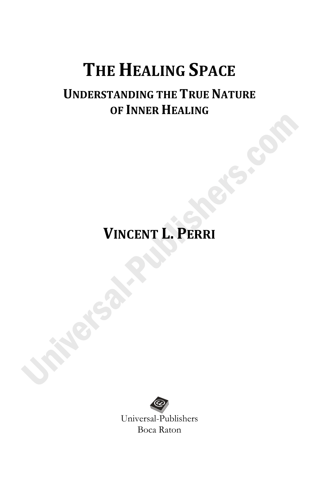# **UNDERSTANDING THE TRUE NATURE OF INNER HEALING**

# **VINCENT L. PERRI**

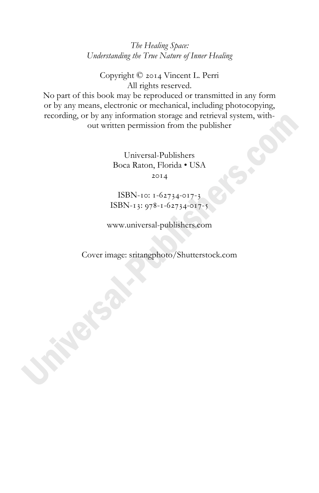*The Healing Space: Understanding the True Nature of Inner Healing*

Copyright © 2014 Vincent L. Perri All rights reserved.

No part of this book may be reproduced or transmitted in any form or by any means, electronic or mechanical, including photocopying, recording, or by any information storage and retrieval system, without written permission from the publisher

> Universal-Publishers Boca Raton, Florida • USA  $20I4$

ISBN-10:  $1-62734-017-3$ ISBN-13:  $978 - 1 - 62734 - 017 - 5$ 

www.universal-publishers.com

Cover image: sritangphoto/Shutterstock.com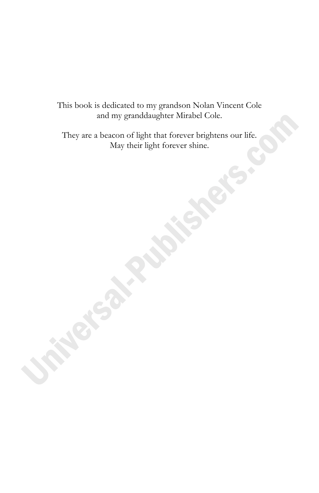This book is dedicated to my grandson Nolan Vincent Cole and my granddaughter Mirabel Cole.

They are a beacon of light that forever brightens our life. May their light forever shine.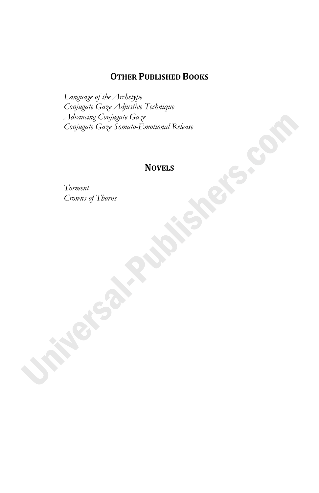#### **OTHER PUBLISHED BOOKS**

*Language of the Archetype Conjugate Gaze Adjustive Technique Advancing Conjugate Gaze Conjugate Gaze Somato-Emotional Release* 

#### **NOVELS**

*Torment Crowns of Thorns*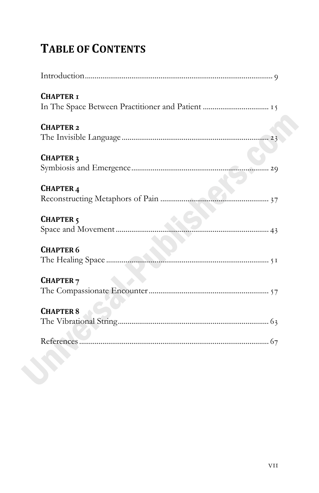# **TABLE OF CONTENTS**

| <b>CHAPTER I</b>     |
|----------------------|
| <b>CHAPTER 2</b>     |
| <b>CHAPTER 3</b>     |
| <b>CHAPTER 4</b>     |
| CHAPTER <sub>5</sub> |
| <b>CHAPTER 6</b>     |
| <b>CHAPTER 7</b>     |
| <b>CHAPTER 8</b>     |
|                      |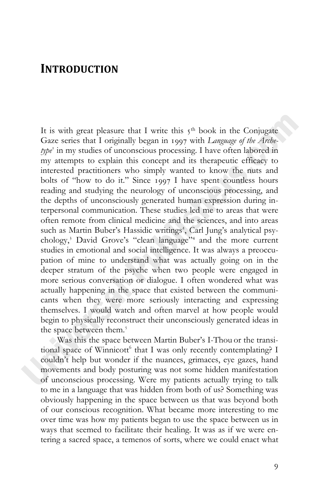### **INTRODUCTION**

It is with great pleasure that I write this  $5<sup>th</sup>$  book in the Conjugate Gaze series that I originally began in 1997 with *Language of the Archetype* in my studies of unconscious processing. I have often labored in my attempts to explain this concept and its therapeutic efficacy to interested practitioners who simply wanted to know the nuts and bolts of "how to do it." Since 1997 I have spent countless hours reading and studying the neurology of unconscious processing, and the depths of unconsciously generated human expression during interpersonal communication. These studies led me to areas that were often remote from clinical medicine and the sciences, and into areas such as Martin Buber's Hassidic writings , Carl Jung's analytical psychology, David Grove's "clean language" and the more current studies in emotional and social intelligence. It was always a preoccupation of mine to understand what was actually going on in the deeper stratum of the psyche when two people were engaged in more serious conversation or dialogue. I often wondered what was actually happening in the space that existed between the communicants when they were more seriously interacting and expressing themselves. I would watch and often marvel at how people would begin to physically reconstruct their unconsciously generated ideas in the space between them.

 Was this the space between Martin Buber's I-Thou or the transitional space of Winnicott<sup>6</sup> that I was only recently contemplating? I couldn't help but wonder if the nuances, grimaces, eye gazes, hand movements and body posturing was not some hidden manifestation of unconscious processing. Were my patients actually trying to talk to me in a language that was hidden from both of us? Something was obviously happening in the space between us that was beyond both of our conscious recognition. What became more interesting to me over time was how my patients began to use the space between us in ways that seemed to facilitate their healing. It was as if we were entering a sacred space, a temenos of sorts, where we could enact what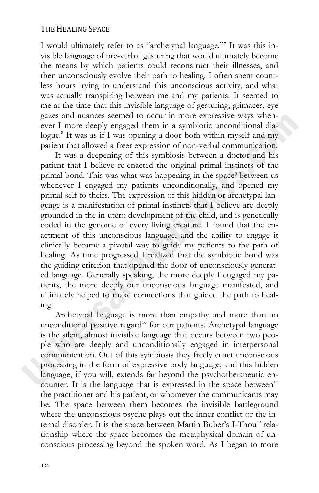I would ultimately refer to as "archetypal language."<sup>7</sup> It was this invisible language of pre-verbal gesturing that would ultimately become the means by which patients could reconstruct their illnesses, and then unconsciously evolve their path to healing. I often spent countless hours trying to understand this unconscious activity, and what was actually transpiring between me and my patients. It seemed to me at the time that this invisible language of gesturing, grimaces, eye gazes and nuances seemed to occur in more expressive ways whenever I more deeply engaged them in a symbiotic unconditional dialogue.<sup>8</sup> It was as if I was opening a door both within myself and my patient that allowed a freer expression of non-verbal communication.

It was a deepening of this symbiosis between a doctor and his patient that I believe re-enacted the original primal instincts of the primal bond. This was what was happening in the space between us whenever I engaged my patients unconditionally, and opened my primal self to theirs. The expression of this hidden or archetypal language is a manifestation of primal instincts that I believe are deeply grounded in the in-utero development of the child, and is genetically coded in the genome of every living creature. I found that the enactment of this unconscious language, and the ability to engage it clinically became a pivotal way to guide my patients to the path of healing. As time progressed I realized that the symbiotic bond was the guiding criterion that opened the door of unconsciously generated language. Generally speaking, the more deeply I engaged my patients, the more deeply our unconscious language manifested, and ultimately helped to make connections that guided the path to healing.

Archetypal language is more than empathy and more than an unconditional positive regard<sup>10</sup> for our patients. Archetypal language is the silent, almost invisible language that occurs between two people who are deeply and unconditionally engaged in interpersonal communication. Out of this symbiosis they freely enact unconscious processing in the form of expressive body language, and this hidden language, if you will, extends far beyond the psychotherapeutic encounter. It is the language that is expressed in the space between<sup>11</sup> the practitioner and his patient, or whomever the communicants may be. The space between them becomes the invisible battleground where the unconscious psyche plays out the inner conflict or the internal disorder. It is the space between Martin Buber's I-Thou<sup>12</sup> relationship where the space becomes the metaphysical domain of unconscious processing beyond the spoken word. As I began to more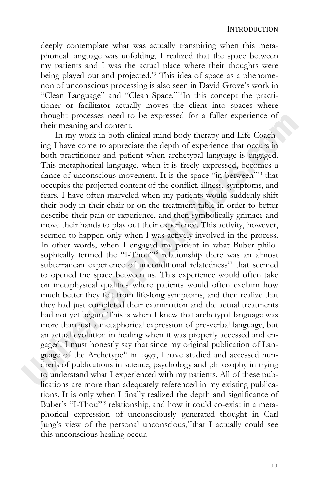deeply contemplate what was actually transpiring when this metaphorical language was unfolding, I realized that the space between my patients and I was the actual place where their thoughts were being played out and projected.<sup>13</sup> This idea of space as a phenomenon of unconscious processing is also seen in David Grove's work in "Clean Language" and "Clean Space."In this concept the practitioner or facilitator actually moves the client into spaces where thought processes need to be expressed for a fuller experience of their meaning and content.

In my work in both clinical mind-body therapy and Life Coaching I have come to appreciate the depth of experience that occurs in both practitioner and patient when archetypal language is engaged. This metaphorical language, when it is freely expressed, becomes a dance of unconscious movement. It is the space "in-between"<sup>15</sup> that occupies the projected content of the conflict, illness, symptoms, and fears. I have often marveled when my patients would suddenly shift their body in their chair or on the treatment table in order to better describe their pain or experience, and then symbolically grimace and move their hands to play out their experience. This activity, however, seemed to happen only when I was actively involved in the process. In other words, when I engaged my patient in what Buber philosophically termed the "I-Thou"<sup>16</sup> relationship there was an almost subterranean experience of unconditional relatedness<sup>17</sup> that seemed to opened the space between us. This experience would often take on metaphysical qualities where patients would often exclaim how much better they felt from life-long symptoms, and then realize that they had just completed their examination and the actual treatments had not yet begun. This is when I knew that archetypal language was more than just a metaphorical expression of pre-verbal language, but an actual evolution in healing when it was properly accessed and engaged. I must honestly say that since my original publication of Language of the Archetype<sup>18</sup> in 1997, I have studied and accessed hundreds of publications in science, psychology and philosophy in trying to understand what I experienced with my patients. All of these publications are more than adequately referenced in my existing publications. It is only when I finally realized the depth and significance of Buber's "I-Thou"<sup>19</sup> relationship, and how it could co-exist in a metaphorical expression of unconsciously generated thought in Carl Jung's view of the personal unconscious,<sup>20</sup> that I actually could see this unconscious healing occur.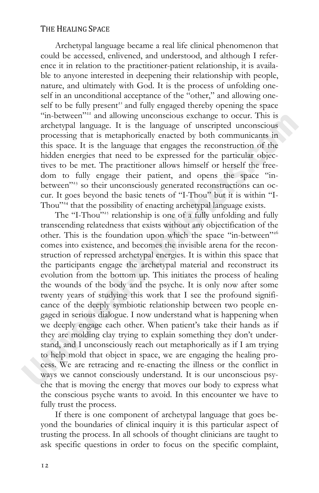Archetypal language became a real life clinical phenomenon that could be accessed, enlivened, and understood, and although I reference it in relation to the practitioner-patient relationship, it is available to anyone interested in deepening their relationship with people, nature, and ultimately with God. It is the process of unfolding oneself in an unconditional acceptance of the "other," and allowing oneself to be fully present<sup>21</sup> and fully engaged thereby opening the space "in-between"<sup>22</sup> and allowing unconscious exchange to occur. This is archetypal language. It is the language of unscripted unconscious processing that is metaphorically enacted by both communicants in this space. It is the language that engages the reconstruction of the hidden energies that need to be expressed for the particular objectives to be met. The practitioner allows himself or herself the freedom to fully engage their patient, and opens the space "inbetween"<sup>23</sup> so their unconsciously generated reconstructions can occur. It goes beyond the basic tenets of "I-Thou" but it is within "I-Thou"<sup>24</sup> that the possibility of enacting archetypal language exists.

The "I-Thou"<sup>225</sup> relationship is one of a fully unfolding and fully transcending relatedness that exists without any objectification of the other. This is the foundation upon which the space "in-between" comes into existence, and becomes the invisible arena for the reconstruction of repressed archetypal energies. It is within this space that the participants engage the archetypal material and reconstruct its evolution from the bottom up. This initiates the process of healing the wounds of the body and the psyche. It is only now after some twenty years of studying this work that I see the profound significance of the deeply symbiotic relationship between two people engaged in serious dialogue. I now understand what is happening when we deeply engage each other. When patient's take their hands as if they are molding clay trying to explain something they don't understand, and I unconsciously reach out metaphorically as if I am trying to help mold that object in space, we are engaging the healing process. We are retracing and re-enacting the illness or the conflict in ways we cannot consciously understand. It is our unconscious psyche that is moving the energy that moves our body to express what the conscious psyche wants to avoid. In this encounter we have to fully trust the process.

If there is one component of archetypal language that goes beyond the boundaries of clinical inquiry it is this particular aspect of trusting the process. In all schools of thought clinicians are taught to ask specific questions in order to focus on the specific complaint,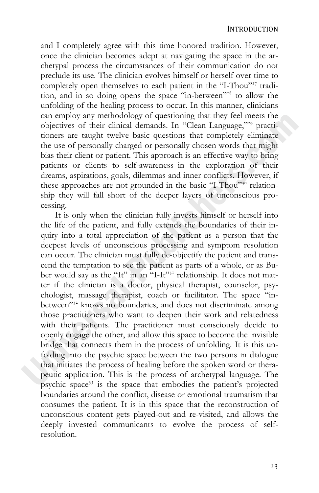and I completely agree with this time honored tradition. However, once the clinician becomes adept at navigating the space in the archetypal process the circumstances of their communication do not preclude its use. The clinician evolves himself or herself over time to completely open themselves to each patient in the "I-Thou"<sup>27</sup> tradition, and in so doing opens the space "in-between"<sup>28</sup> to allow the unfolding of the healing process to occur. In this manner, clinicians can employ any methodology of questioning that they feel meets the objectives of their clinical demands. In "Clean Language,"<sup>29</sup> practitioners are taught twelve basic questions that completely eliminate the use of personally charged or personally chosen words that might bias their client or patient. This approach is an effective way to bring patients or clients to self-awareness in the exploration of their dreams, aspirations, goals, dilemmas and inner conflicts. However, if these approaches are not grounded in the basic "I-Thou"<sup>30</sup> relationship they will fall short of the deeper layers of unconscious processing.

It is only when the clinician fully invests himself or herself into the life of the patient, and fully extends the boundaries of their inquiry into a total appreciation of the patient as a person that the deepest levels of unconscious processing and symptom resolution can occur. The clinician must fully de-objectify the patient and transcend the temptation to see the patient as parts of a whole, or as Buber would say as the "It" in an "I-It"<sup>31</sup> relationship. It does not matter if the clinician is a doctor, physical therapist, counselor, psychologist, massage therapist, coach or facilitator. The space "inbetween"<sup>32</sup> knows no boundaries, and does not discriminate among those practitioners who want to deepen their work and relatedness with their patients. The practitioner must consciously decide to openly engage the other, and allow this space to become the invisible bridge that connects them in the process of unfolding. It is this unfolding into the psychic space between the two persons in dialogue that initiates the process of healing before the spoken word or therapeutic application. This is the process of archetypal language. The psychic space is the space that embodies the patient's projected boundaries around the conflict, disease or emotional traumatism that consumes the patient. It is in this space that the reconstruction of unconscious content gets played-out and re-visited, and allows the deeply invested communicants to evolve the process of selfresolution.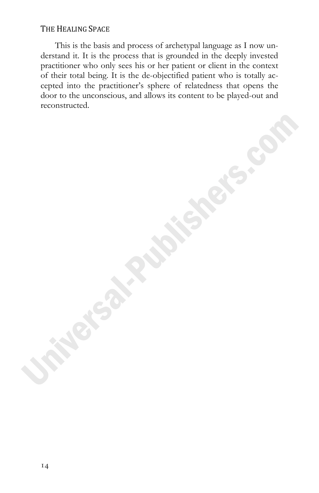This is the basis and process of archetypal language as I now understand it. It is the process that is grounded in the deeply invested practitioner who only sees his or her patient or client in the context of their total being. It is the de-objectified patient who is totally accepted into the practitioner's sphere of relatedness that opens the door to the unconscious, and allows its content to be played-out and reconstructed.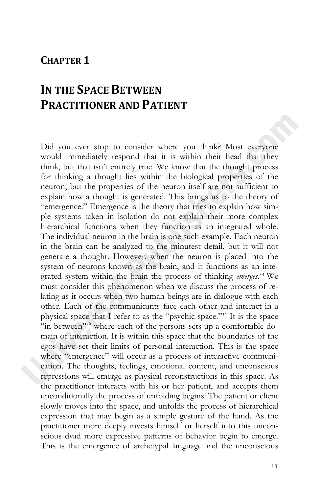### **CHAPTER 1**

## **IN THE SPACE BETWEEN PRACTITIONER AND PATIENT**

Did you ever stop to consider where you think? Most everyone would immediately respond that it is within their head that they think, but that isn't entirely true. We know that the thought process for thinking a thought lies within the biological properties of the neuron, but the properties of the neuron itself are not sufficient to explain how a thought is generated. This brings us to the theory of "emergence." Emergence is the theory that tries to explain how simple systems taken in isolation do not explain their more complex hierarchical functions when they function as an integrated whole. The individual neuron in the brain is one such example. Each neuron in the brain can be analyzed to the minutest detail, but it will not generate a thought. However, when the neuron is placed into the system of neurons known as the brain, and it functions as an integrated system within the brain the process of thinking *emerges*.<sup>34</sup> We must consider this phenomenon when we discuss the process of relating as it occurs when two human beings are in dialogue with each other. Each of the communicants face each other and interact in a physical space that I refer to as the "psychic space."<sup>35</sup> It is the space "in-between"<sup>36</sup> where each of the persons sets up a comfortable domain of interaction. It is within this space that the boundaries of the egos have set their limits of personal interaction. This is the space where "emergence" will occur as a process of interactive communication. The thoughts, feelings, emotional content, and unconscious repressions will emerge as physical reconstructions in this space. As the practitioner interacts with his or her patient, and accepts them unconditionally the process of unfolding begins. The patient or client slowly moves into the space, and unfolds the process of hierarchical expression that may begin as a simple gesture of the hand. As the practitioner more deeply invests himself or herself into this unconscious dyad more expressive patterns of behavior begin to emerge. This is the emergence of archetypal language and the unconscious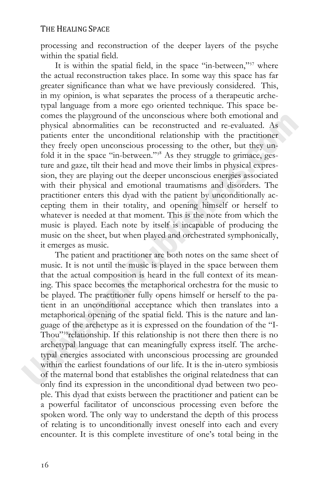processing and reconstruction of the deeper layers of the psyche within the spatial field.

It is within the spatial field, in the space "in-between,"<sup>37</sup> where the actual reconstruction takes place. In some way this space has far greater significance than what we have previously considered. This, in my opinion, is what separates the process of a therapeutic archetypal language from a more ego oriented technique. This space becomes the playground of the unconscious where both emotional and physical abnormalities can be reconstructed and re-evaluated. As patients enter the unconditional relationship with the practitioner they freely open unconscious processing to the other, but they unfold it in the space "in-between."<sup>38</sup> As they struggle to grimace, gesture and gaze, tilt their head and move their limbs in physical expression, they are playing out the deeper unconscious energies associated with their physical and emotional traumatisms and disorders. The practitioner enters this dyad with the patient by unconditionally accepting them in their totality, and opening himself or herself to whatever is needed at that moment. This is the note from which the music is played. Each note by itself is incapable of producing the music on the sheet, but when played and orchestrated symphonically, it emerges as music.

The patient and practitioner are both notes on the same sheet of music. It is not until the music is played in the space between them that the actual composition is heard in the full context of its meaning. This space becomes the metaphorical orchestra for the music to be played. The practitioner fully opens himself or herself to the patient in an unconditional acceptance which then translates into a metaphorical opening of the spatial field. This is the nature and language of the archetype as it is expressed on the foundation of the "I-Thou"<sup>39</sup> relationship. If this relationship is not there then there is no archetypal language that can meaningfully express itself. The archetypal energies associated with unconscious processing are grounded within the earliest foundations of our life. It is the in-utero symbiosis of the maternal bond that establishes the original relatedness that can only find its expression in the unconditional dyad between two people. This dyad that exists between the practitioner and patient can be a powerful facilitator of unconscious processing even before the spoken word. The only way to understand the depth of this process of relating is to unconditionally invest oneself into each and every encounter. It is this complete investiture of one's total being in the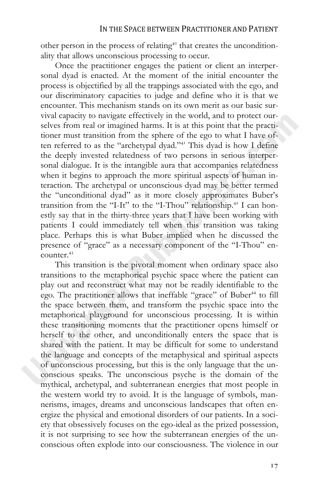other person in the process of relating<sup>40</sup> that creates the unconditionality that allows unconscious processing to occur.

Once the practitioner engages the patient or client an interpersonal dyad is enacted. At the moment of the initial encounter the process is objectified by all the trappings associated with the ego, and our discriminatory capacities to judge and define who it is that we encounter. This mechanism stands on its own merit as our basic survival capacity to navigate effectively in the world, and to protect ourselves from real or imagined harms. It is at this point that the practitioner must transition from the sphere of the ego to what I have often referred to as the "archetypal dyad."<sup>41</sup> This dyad is how I define the deeply invested relatedness of two persons in serious interpersonal dialogue. It is the intangible aura that accompanies relatedness when it begins to approach the more spiritual aspects of human interaction. The archetypal or unconscious dyad may be better termed the "unconditional dyad" as it more closely approximates Buber's transition from the "I-It" to the "I-Thou" relationship.<sup>42</sup> I can honestly say that in the thirty-three years that I have been working with patients I could immediately tell when this transition was taking place. Perhaps this is what Buber implied when he discussed the presence of "grace" as a necessary component of the "I-Thou" en $counter<sup>43</sup>$ 

This transition is the pivotal moment when ordinary space also transitions to the metaphorical psychic space where the patient can play out and reconstruct what may not be readily identifiable to the ego. The practitioner allows that ineffable "grace" of Buber<sup>44</sup> to fill the space between them, and transform the psychic space into the metaphorical playground for unconscious processing. It is within these transitioning moments that the practitioner opens himself or herself to the other, and unconditionally enters the space that is shared with the patient. It may be difficult for some to understand the language and concepts of the metaphysical and spiritual aspects of unconscious processing, but this is the only language that the unconscious speaks. The unconscious psyche is the domain of the mythical, archetypal, and subterranean energies that most people in the western world try to avoid. It is the language of symbols, mannerisms, images, dreams and unconscious landscapes that often energize the physical and emotional disorders of our patients. In a society that obsessively focuses on the ego-ideal as the prized possession, it is not surprising to see how the subterranean energies of the unconscious often explode into our consciousness. The violence in our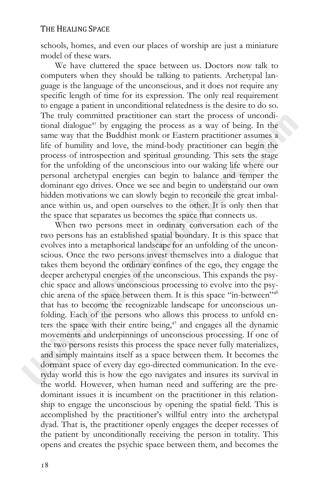schools, homes, and even our places of worship are just a miniature model of these wars.

We have cluttered the space between us. Doctors now talk to computers when they should be talking to patients. Archetypal language is the language of the unconscious, and it does not require any specific length of time for its expression. The only real requirement to engage a patient in unconditional relatedness is the desire to do so. The truly committed practitioner can start the process of unconditional dialogue<sup>45</sup> by engaging the process as a way of being. In the same way that the Buddhist monk or Eastern practitioner assumes a life of humility and love, the mind-body practitioner can begin the process of introspection and spiritual grounding. This sets the stage for the unfolding of the unconscious into our waking life where our personal archetypal energies can begin to balance and temper the dominant ego drives. Once we see and begin to understand our own hidden motivations we can slowly begin to reconcile the great imbalance within us, and open ourselves to the other. It is only then that the space that separates us becomes the space that connects us.

When two persons meet in ordinary conversation each of the two persons has an established spatial boundary. It is this space that evolves into a metaphorical landscape for an unfolding of the unconscious. Once the two persons invest themselves into a dialogue that takes them beyond the ordinary confines of the ego, they engage the deeper archetypal energies of the unconscious. This expands the psychic space and allows unconscious processing to evolve into the psychic arena of the space between them. It is this space "in-between"<sup>346</sup> that has to become the recognizable landscape for unconscious unfolding. Each of the persons who allows this process to unfold enters the space with their entire being,<sup>47</sup> and engages all the dynamic movements and underpinnings of unconscious processing. If one of the two persons resists this process the space never fully materializes, and simply maintains itself as a space between them. It becomes the dormant space of every day ego-directed communication. In the everyday world this is how the ego navigates and insures its survival in the world. However, when human need and suffering are the predominant issues it is incumbent on the practitioner in this relationship to engage the unconscious by opening the spatial field. This is accomplished by the practitioner's willful entry into the archetypal dyad. That is, the practitioner openly engages the deeper recesses of the patient by unconditionally receiving the person in totality. This opens and creates the psychic space between them, and becomes the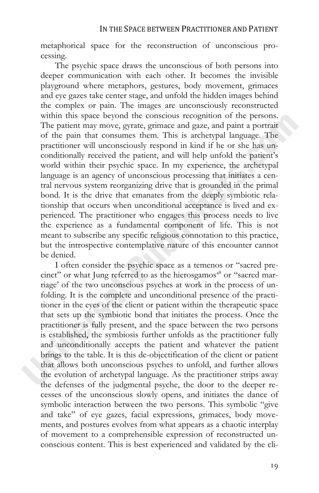metaphorical space for the reconstruction of unconscious processing.

The psychic space draws the unconscious of both persons into deeper communication with each other. It becomes the invisible playground where metaphors, gestures, body movement, grimaces and eye gazes take center stage, and unfold the hidden images behind the complex or pain. The images are unconsciously reconstructed within this space beyond the conscious recognition of the persons. The patient may move, gyrate, grimace and gaze, and paint a portrait of the pain that consumes them. This is archetypal language. The practitioner will unconsciously respond in kind if he or she has unconditionally received the patient, and will help unfold the patient's world within their psychic space. In my experience, the archetypal language is an agency of unconscious processing that initiates a central nervous system reorganizing drive that is grounded in the primal bond. It is the drive that emanates from the deeply symbiotic relationship that occurs when unconditional acceptance is lived and experienced. The practitioner who engages this process needs to live the experience as a fundamental component of life. This is not meant to subscribe any specific religious connotation to this practice, but the introspective contemplative nature of this encounter cannot be denied.

I often consider the psychic space as a temenos or "sacred precinct" or what Jung referred to as the hierosgamos<sup>48</sup> or "sacred marriage' of the two unconscious psyches at work in the process of unfolding. It is the complete and unconditional presence of the practitioner in the eyes of the client or patient within the therapeutic space that sets up the symbiotic bond that initiates the process. Once the practitioner is fully present, and the space between the two persons is established, the symbiosis further unfolds as the practitioner fully and unconditionally accepts the patient and whatever the patient brings to the table. It is this de-objectification of the client or patient that allows both unconscious psyches to unfold, and further allows the evolution of archetypal language. As the practitioner strips away the defenses of the judgmental psyche, the door to the deeper recesses of the unconscious slowly opens, and initiates the dance of symbolic interaction between the two persons. This symbolic "give and take" of eye gazes, facial expressions, grimaces, body movements, and postures evolves from what appears as a chaotic interplay of movement to a comprehensible expression of reconstructed unconscious content. This is best experienced and validated by the cli-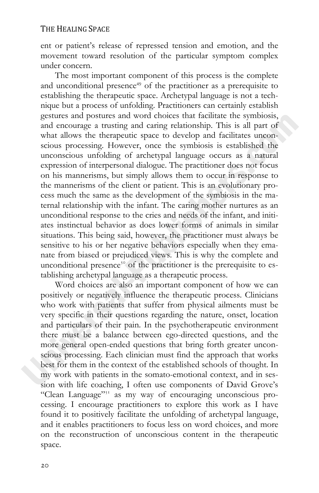ent or patient's release of repressed tension and emotion, and the movement toward resolution of the particular symptom complex under concern.

The most important component of this process is the complete and unconditional presence<sup> $49$ </sup> of the practitioner as a prerequisite to establishing the therapeutic space. Archetypal language is not a technique but a process of unfolding. Practitioners can certainly establish gestures and postures and word choices that facilitate the symbiosis, and encourage a trusting and caring relationship. This is all part of what allows the therapeutic space to develop and facilitates unconscious processing. However, once the symbiosis is established the unconscious unfolding of archetypal language occurs as a natural expression of interpersonal dialogue. The practitioner does not focus on his mannerisms, but simply allows them to occur in response to the mannerisms of the client or patient. This is an evolutionary process much the same as the development of the symbiosis in the maternal relationship with the infant. The caring mother nurtures as an unconditional response to the cries and needs of the infant, and initiates instinctual behavior as does lower forms of animals in similar situations. This being said, however, the practitioner must always be sensitive to his or her negative behaviors especially when they emanate from biased or prejudiced views. This is why the complete and unconditional presence<sup>5</sup> of the practitioner is the prerequisite to establishing archetypal language as a therapeutic process.

Word choices are also an important component of how we can positively or negatively influence the therapeutic process. Clinicians who work with patients that suffer from physical ailments must be very specific in their questions regarding the nature, onset, location and particulars of their pain. In the psychotherapeutic environment there must be a balance between ego-directed questions, and the more general open-ended questions that bring forth greater unconscious processing. Each clinician must find the approach that works best for them in the context of the established schools of thought. In my work with patients in the somato-emotional context, and in session with life coaching, I often use components of David Grove's "Clean Language"<sup>31</sup> as my way of encouraging unconscious processing. I encourage practitioners to explore this work as I have found it to positively facilitate the unfolding of archetypal language, and it enables practitioners to focus less on word choices, and more on the reconstruction of unconscious content in the therapeutic space.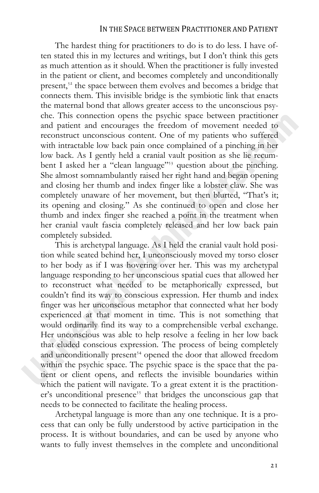#### IN THE SPACE BETWEEN PRACTITIONER AND PATIENT

The hardest thing for practitioners to do is to do less. I have often stated this in my lectures and writings, but I don't think this gets as much attention as it should. When the practitioner is fully invested in the patient or client, and becomes completely and unconditionally present, $s<sup>2</sup>$  the space between them evolves and becomes a bridge that connects them. This invisible bridge is the symbiotic link that enacts the maternal bond that allows greater access to the unconscious psyche. This connection opens the psychic space between practitioner and patient and encourages the freedom of movement needed to reconstruct unconscious content. One of my patients who suffered with intractable low back pain once complained of a pinching in her low back. As I gently held a cranial vault position as she lie recumbent I asked her a "clean language"<sup>33</sup> question about the pinching. She almost somnambulantly raised her right hand and began opening and closing her thumb and index finger like a lobster claw. She was completely unaware of her movement, but then blurted, "That's it; its opening and closing." As she continued to open and close her thumb and index finger she reached a point in the treatment when her cranial vault fascia completely released and her low back pain completely subsided.

This is archetypal language. As I held the cranial vault hold position while seated behind her, I unconsciously moved my torso closer to her body as if I was hovering over her. This was my archetypal language responding to her unconscious spatial cues that allowed her to reconstruct what needed to be metaphorically expressed, but couldn't find its way to conscious expression. Her thumb and index finger was her unconscious metaphor that connected what her body experienced at that moment in time. This is not something that would ordinarily find its way to a comprehensible verbal exchange. Her unconscious was able to help resolve a feeling in her low back that eluded conscious expression. The process of being completely and unconditionally present<sup>34</sup> opened the door that allowed freedom within the psychic space. The psychic space is the space that the patient or client opens, and reflects the invisible boundaries within which the patient will navigate. To a great extent it is the practitioner's unconditional presence<sup>55</sup> that bridges the unconscious gap that needs to be connected to facilitate the healing process.

Archetypal language is more than any one technique. It is a process that can only be fully understood by active participation in the process. It is without boundaries, and can be used by anyone who wants to fully invest themselves in the complete and unconditional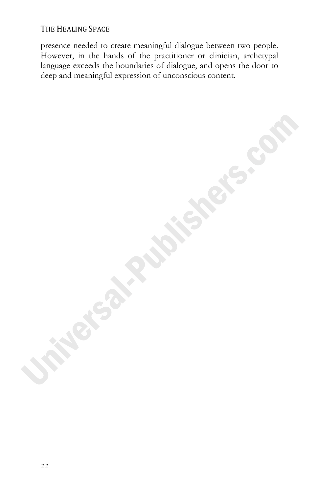presence needed to create meaningful dialogue between two people. However, in the hands of the practitioner or clinician, archetypal language exceeds the boundaries of dialogue, and opens the door to deep and meaningful expression of unconscious content.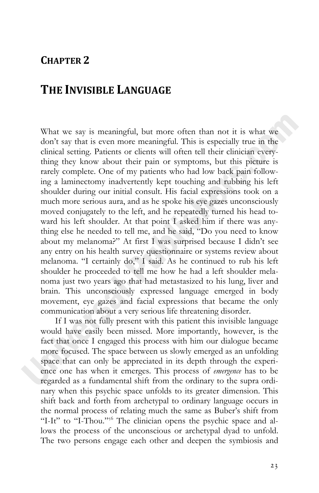### **CHAPTER 2**

## **THE INVISIBLE LANGUAGE**

What we say is meaningful, but more often than not it is what we don't say that is even more meaningful. This is especially true in the clinical setting. Patients or clients will often tell their clinician everything they know about their pain or symptoms, but this picture is rarely complete. One of my patients who had low back pain following a laminectomy inadvertently kept touching and rubbing his left shoulder during our initial consult. His facial expressions took on a much more serious aura, and as he spoke his eye gazes unconsciously moved conjugately to the left, and he repeatedly turned his head toward his left shoulder. At that point I asked him if there was anything else he needed to tell me, and he said, "Do you need to know about my melanoma?" At first I was surprised because I didn't see any entry on his health survey questionnaire or systems review about melanoma. "I certainly do," I said. As he continued to rub his left shoulder he proceeded to tell me how he had a left shoulder melanoma just two years ago that had metastasized to his lung, liver and brain. This unconsciously expressed language emerged in body movement, eye gazes and facial expressions that became the only communication about a very serious life threatening disorder.

If I was not fully present with this patient this invisible language would have easily been missed. More importantly, however, is the fact that once I engaged this process with him our dialogue became more focused. The space between us slowly emerged as an unfolding space that can only be appreciated in its depth through the experience one has when it emerges. This process of *emergence* has to be regarded as a fundamental shift from the ordinary to the supra ordinary when this psychic space unfolds to its greater dimension. This shift back and forth from archetypal to ordinary language occurs in the normal process of relating much the same as Buber's shift from "I-It" to "I-Thou."<sup>56</sup> The clinician opens the psychic space and allows the process of the unconscious or archetypal dyad to unfold. The two persons engage each other and deepen the symbiosis and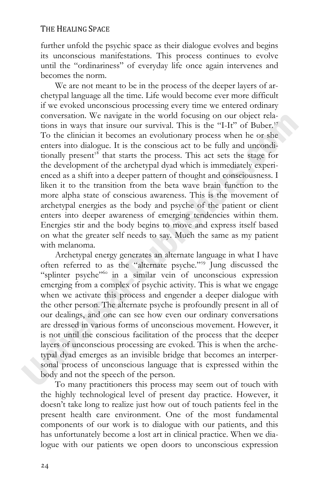further unfold the psychic space as their dialogue evolves and begins its unconscious manifestations. This process continues to evolve until the "ordinariness" of everyday life once again intervenes and becomes the norm.

We are not meant to be in the process of the deeper layers of archetypal language all the time. Life would become ever more difficult if we evoked unconscious processing every time we entered ordinary conversation. We navigate in the world focusing on our object relations in ways that insure our survival. This is the "I-It" of Buber.<sup>57</sup> To the clinician it becomes an evolutionary process when he or she enters into dialogue. It is the conscious act to be fully and unconditionally present<sup> $\frac{8}{5}$ </sup> that starts the process. This act sets the stage for the development of the archetypal dyad which is immediately experienced as a shift into a deeper pattern of thought and consciousness. I liken it to the transition from the beta wave brain function to the more alpha state of conscious awareness. This is the movement of archetypal energies as the body and psyche of the patient or client enters into deeper awareness of emerging tendencies within them. Energies stir and the body begins to move and express itself based on what the greater self needs to say. Much the same as my patient with melanoma.

Archetypal energy generates an alternate language in what I have often referred to as the "alternate psyche."<sup>39</sup> Jung discussed the "splinter psyche"<sup>66</sup> in a similar vein of unconscious expression emerging from a complex of psychic activity. This is what we engage when we activate this process and engender a deeper dialogue with the other person. The alternate psyche is profoundly present in all of our dealings, and one can see how even our ordinary conversations are dressed in various forms of unconscious movement. However, it is not until the conscious facilitation of the process that the deeper layers of unconscious processing are evoked. This is when the archetypal dyad emerges as an invisible bridge that becomes an interpersonal process of unconscious language that is expressed within the body and not the speech of the person.

To many practitioners this process may seem out of touch with the highly technological level of present day practice. However, it doesn't take long to realize just how out of touch patients feel in the present health care environment. One of the most fundamental components of our work is to dialogue with our patients, and this has unfortunately become a lost art in clinical practice. When we dialogue with our patients we open doors to unconscious expression